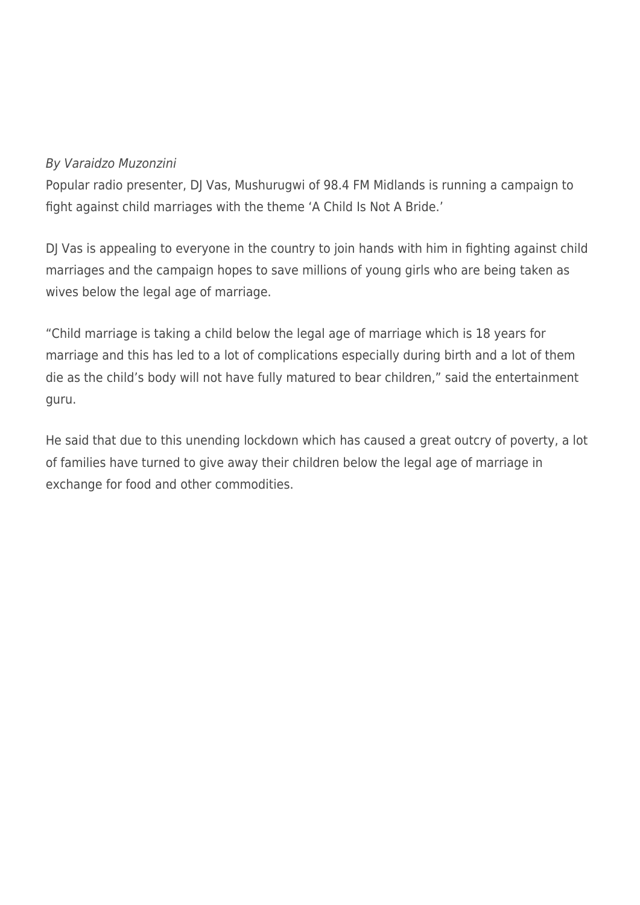## By Varaidzo Muzonzini

Popular radio presenter, DJ Vas, Mushurugwi of 98.4 FM Midlands is running a campaign to fight against child marriages with the theme 'A Child Is Not A Bride.'

DJ Vas is appealing to everyone in the country to join hands with him in fighting against child marriages and the campaign hopes to save millions of young girls who are being taken as wives below the legal age of marriage.

"Child marriage is taking a child below the legal age of marriage which is 18 years for marriage and this has led to a lot of complications especially during birth and a lot of them die as the child's body will not have fully matured to bear children," said the entertainment guru.

He said that due to this unending lockdown which has caused a great outcry of poverty, a lot of families have turned to give away their children below the legal age of marriage in exchange for food and other commodities.